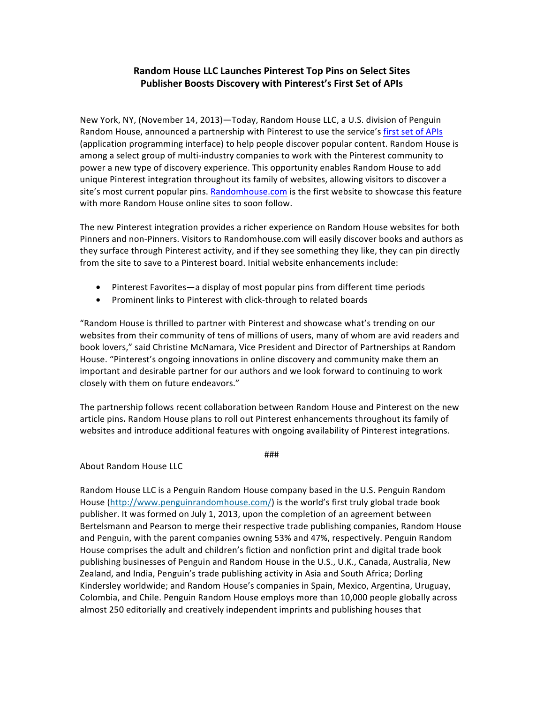## Random House LLC Launches Pinterest Top Pins on Select Sites Publisher Boosts Discovery with Pinterest's First Set of APIs

New York, NY, (November 14, 2013)—Today, Random House LLC, a U.S. division of Penguin Random House, announced a partnership with Pinterest to use the service's first set of APIs (application programming interface) to help people discover popular content. Random House is among a select group of multi-industry companies to work with the Pinterest community to power a new type of discovery experience. This opportunity enables Random House to add unique Pinterest integration throughout its family of websites, allowing visitors to discover a site's most current popular pins. Randomhouse.com is the first website to showcase this feature with more Random House online sites to soon follow.

The new Pinterest integration provides a richer experience on Random House websites for both Pinners and non-Pinners. Visitors to Randomhouse.com will easily discover books and authors as they surface through Pinterest activity, and if they see something they like, they can pin directly from the site to save to a Pinterest board. Initial website enhancements include:

- Pinterest Favorites—a display of most popular pins from different time periods
- Prominent links to Pinterest with click-through to related boards

"Random House is thrilled to partner with Pinterest and showcase what's trending on our websites from their community of tens of millions of users, many of whom are avid readers and book lovers," said Christine McNamara, Vice President and Director of Partnerships at Random House. "Pinterest's ongoing innovations in online discovery and community make them an important and desirable partner for our authors and we look forward to continuing to work closely with them on future endeavors."

The partnership follows recent collaboration between Random House and Pinterest on the new article pins. Random House plans to roll out Pinterest enhancements throughout its family of websites and introduce additional features with ongoing availability of Pinterest integrations.

###

About Random House LLC

Random House LLC is a Penguin Random House company based in the U.S. Penguin Random House (http://www.penguinrandomhouse.com/) is the world's first truly global trade book publisher. It was formed on July 1, 2013, upon the completion of an agreement between Bertelsmann and Pearson to merge their respective trade publishing companies, Random House and Penguin, with the parent companies owning 53% and 47%, respectively. Penguin Random House comprises the adult and children's fiction and nonfiction print and digital trade book publishing businesses of Penguin and Random House in the U.S., U.K., Canada, Australia, New Zealand, and India, Penguin's trade publishing activity in Asia and South Africa; Dorling Kindersley worldwide; and Random House's companies in Spain, Mexico, Argentina, Uruguay, Colombia, and Chile. Penguin Random House employs more than 10,000 people globally across almost 250 editorially and creatively independent imprints and publishing houses that